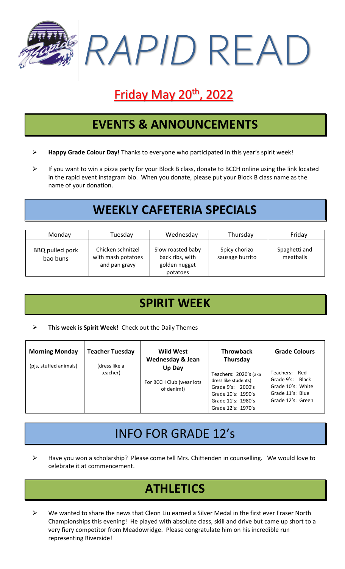

# **Friday May 20<sup>th</sup>, 2022**

### **EVENTS & ANNOUNCEMENTS**

- ➢ **Happy Grade Colour Day!** Thanks to everyone who participated in this year's spirit week!
- ➢ If you want to win a pizza party for your Block B class, donate to BCCH online using the link located in the rapid event instagram bio. When you donate, please put your Block B class name as the name of your donation.

## **WEEKLY CAFETERIA SPECIALS**

| Monday                      | Tuesday                                                  | Wednesday                                                         | Thursday                         | Friday                     |
|-----------------------------|----------------------------------------------------------|-------------------------------------------------------------------|----------------------------------|----------------------------|
| BBQ pulled pork<br>bao buns | Chicken schnitzel<br>with mash potatoes<br>and pan gravy | Slow roasted baby<br>back ribs, with<br>golden nugget<br>potatoes | Spicy chorizo<br>sausage burrito | Spaghetti and<br>meatballs |

### **SPIRIT WEEK**

#### ➢ **This week is Spirit Week**! Check out the Daily Themes

| <b>Morning Monday</b><br>(pjs, stuffed animals) | <b>Teacher Tuesday</b><br>(dress like a<br>teacher) | <b>Wild West</b><br><b>Wednesday &amp; Jean</b><br>Up Day | <b>Throwback</b><br>Thursday                                                                                                         | <b>Grade Colours</b>                                                                            |
|-------------------------------------------------|-----------------------------------------------------|-----------------------------------------------------------|--------------------------------------------------------------------------------------------------------------------------------------|-------------------------------------------------------------------------------------------------|
|                                                 |                                                     | For BCCH Club (wear lots<br>of denim!)                    | Teachers: 2020's (aka<br>dress like students)<br>Grade 9's: 2000's<br>Grade 10's: 1990's<br>Grade 11's: 1980's<br>Grade 12's: 1970's | Teachers: Red<br>Grade 9's: Black<br>Grade 10's: White<br>Grade 11's: Blue<br>Grade 12's: Green |

### INFO FOR GRADE 12's

➢ Have you won a scholarship? Please come tell Mrs. Chittenden in counselling. We would love to celebrate it at commencement.

## **ATHLETICS**

 $\triangleright$  We wanted to share the news that Cleon Liu earned a Silver Medal in the first ever Fraser North Championships this evening! He played with absolute class, skill and drive but came up short to a very fiery competitor from Meadowridge. Please congratulate him on his incredible run representing Riverside!